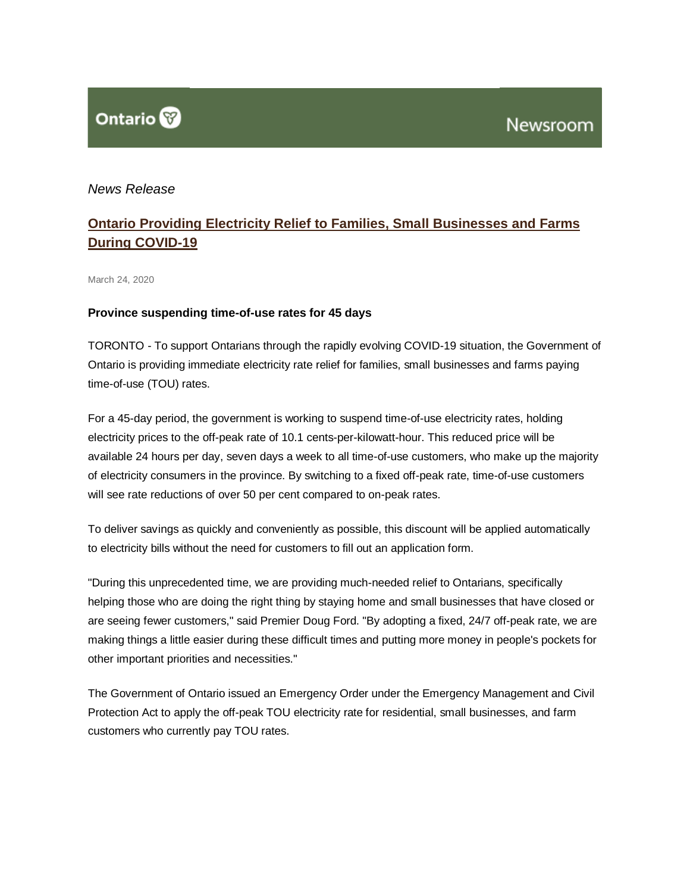

# *News Release*

# **[Ontario Providing Electricity Relief to Families, Small Businesses and Farms](http://news.ontario.ca/opo/en/2020/03/ontario-providing-electricity-relief-to-families-small-businesses-and-farms-during-covid-19.html?utm_source=ondemand&utm_medium=email&utm_campaign=p)  [During COVID-19](http://news.ontario.ca/opo/en/2020/03/ontario-providing-electricity-relief-to-families-small-businesses-and-farms-during-covid-19.html?utm_source=ondemand&utm_medium=email&utm_campaign=p)**

March 24, 2020

#### **Province suspending time-of-use rates for 45 days**

TORONTO - To support Ontarians through the rapidly evolving COVID-19 situation, the Government of Ontario is providing immediate electricity rate relief for families, small businesses and farms paying time-of-use (TOU) rates.

For a 45-day period, the government is working to suspend time-of-use electricity rates, holding electricity prices to the off-peak rate of 10.1 cents-per-kilowatt-hour. This reduced price will be available 24 hours per day, seven days a week to all time-of-use customers, who make up the majority of electricity consumers in the province. By switching to a fixed off-peak rate, time-of-use customers will see rate reductions of over 50 per cent compared to on-peak rates.

To deliver savings as quickly and conveniently as possible, this discount will be applied automatically to electricity bills without the need for customers to fill out an application form.

"During this unprecedented time, we are providing much-needed relief to Ontarians, specifically helping those who are doing the right thing by staying home and small businesses that have closed or are seeing fewer customers," said Premier Doug Ford. "By adopting a fixed, 24/7 off-peak rate, we are making things a little easier during these difficult times and putting more money in people's pockets for other important priorities and necessities."

The Government of Ontario issued an Emergency Order under the Emergency Management and Civil Protection Act to apply the off-peak TOU electricity rate for residential, small businesses, and farm customers who currently pay TOU rates.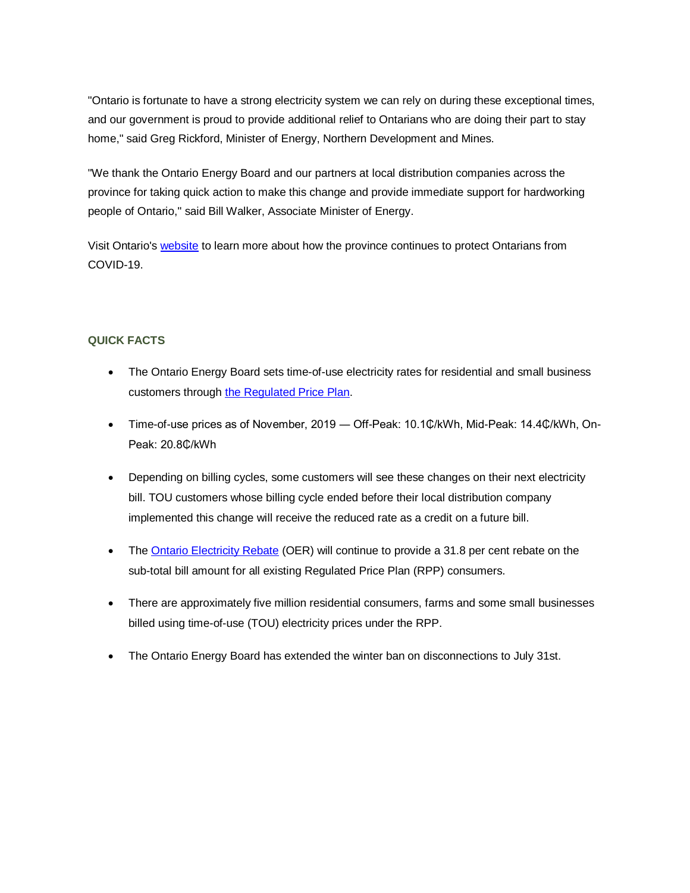"Ontario is fortunate to have a strong electricity system we can rely on during these exceptional times, and our government is proud to provide additional relief to Ontarians who are doing their part to stay home," said Greg Rickford, Minister of Energy, Northern Development and Mines.

"We thank the Ontario Energy Board and our partners at local distribution companies across the province for taking quick action to make this change and provide immediate support for hardworking people of Ontario," said Bill Walker, Associate Minister of Energy.

Visit Ontario's [website](https://www.ontario.ca/page/2019-novel-coronavirus) to learn more about how the province continues to protect Ontarians from COVID-19.

# **QUICK FACTS**

- The Ontario Energy Board sets time-of-use electricity rates for residential and small business customers through [the Regulated Price Plan.](https://www.oeb.ca/rates-and-your-bill/electricity-rates)
- Time-of-use prices as of November, 2019 ― Off-Peak: 10.1₵/kWh, Mid-Peak: 14.4₵/kWh, On-Peak: 20.8₵/kWh
- Depending on billing cycles, some customers will see these changes on their next electricity bill. TOU customers whose billing cycle ended before their local distribution company implemented this change will receive the reduced rate as a credit on a future bill.
- The [Ontario Electricity Rebate](https://www.ontario.ca/page/changes-your-electricity-bill) (OER) will continue to provide a 31.8 per cent rebate on the sub-total bill amount for all existing Regulated Price Plan (RPP) consumers.
- There are approximately five million residential consumers, farms and some small businesses billed using time-of-use (TOU) electricity prices under the RPP.
- The Ontario Energy Board has extended the winter ban on disconnections to July 31st.